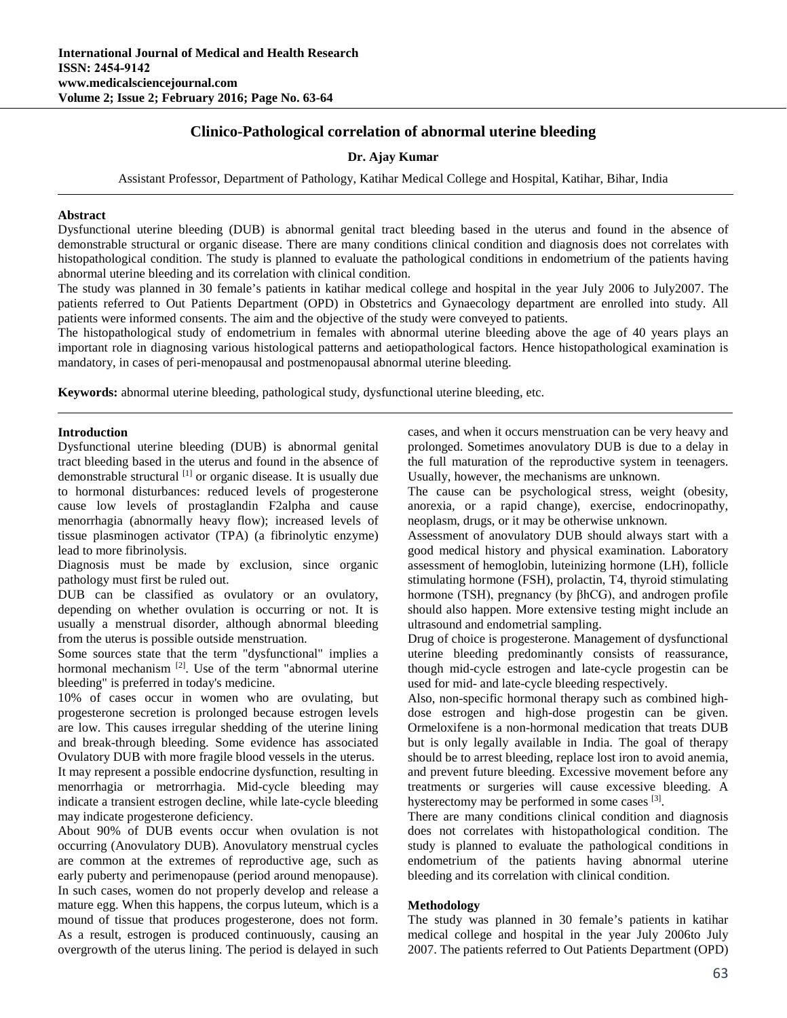# **Clinico-Pathological correlation of abnormal uterine bleeding**

### **Dr. Ajay Kumar**

Assistant Professor, Department of Pathology, Katihar Medical College and Hospital, Katihar, Bihar, India

#### **Abstract**

Dysfunctional uterine bleeding (DUB) is abnormal genital tract bleeding based in the uterus and found in the absence of demonstrable structural or organic disease. There are many conditions clinical condition and diagnosis does not correlates with histopathological condition. The study is planned to evaluate the pathological conditions in endometrium of the patients having abnormal uterine bleeding and its correlation with clinical condition.

The study was planned in 30 female's patients in katihar medical college and hospital in the year July 2006 to July2007. The patients referred to Out Patients Department (OPD) in Obstetrics and Gynaecology department are enrolled into study. All patients were informed consents. The aim and the objective of the study were conveyed to patients.

The histopathological study of endometrium in females with abnormal uterine bleeding above the age of 40 years plays an important role in diagnosing various histological patterns and aetiopathological factors. Hence histopathological examination is mandatory, in cases of peri-menopausal and postmenopausal abnormal uterine bleeding.

**Keywords:** abnormal uterine bleeding, pathological study, dysfunctional uterine bleeding, etc.

#### **Introduction**

Dysfunctional uterine bleeding (DUB) is abnormal genital tract bleeding based in the uterus and found in the absence of demonstrable structural [1] or organic disease. It is usually due to hormonal disturbances: reduced levels of progesterone cause low levels of prostaglandin F2alpha and cause menorrhagia (abnormally heavy flow); increased levels of tissue plasminogen activator (TPA) (a fibrinolytic enzyme) lead to more fibrinolysis.

Diagnosis must be made by exclusion, since organic pathology must first be ruled out.

DUB can be classified as ovulatory or an ovulatory, depending on whether ovulation is occurring or not. It is usually a menstrual disorder, although abnormal bleeding from the uterus is possible outside menstruation.

Some sources state that the term "dysfunctional" implies a hormonal mechanism <sup>[2]</sup>. Use of the term "abnormal uterine bleeding" is preferred in today's medicine.

10% of cases occur in women who are ovulating, but progesterone secretion is prolonged because estrogen levels are low. This causes irregular shedding of the uterine lining and break-through bleeding. Some evidence has associated Ovulatory DUB with more fragile blood vessels in the uterus. It may represent a possible endocrine dysfunction, resulting in menorrhagia or metrorrhagia. Mid-cycle bleeding may indicate a transient estrogen decline, while late-cycle bleeding may indicate progesterone deficiency.

About 90% of DUB events occur when ovulation is not occurring (Anovulatory DUB). Anovulatory menstrual cycles are common at the extremes of reproductive age, such as early puberty and perimenopause (period around menopause). In such cases, women do not properly develop and release a mature egg. When this happens, the corpus luteum, which is a mound of tissue that produces progesterone, does not form. As a result, estrogen is produced continuously, causing an overgrowth of the uterus lining. The period is delayed in such cases, and when it occurs menstruation can be very heavy and prolonged. Sometimes anovulatory DUB is due to a delay in the full maturation of the reproductive system in teenagers. Usually, however, the mechanisms are unknown.

The cause can be psychological stress, weight (obesity, anorexia, or a rapid change), exercise, endocrinopathy, neoplasm, drugs, or it may be otherwise unknown.

Assessment of anovulatory DUB should always start with a good medical history and physical examination. Laboratory assessment of hemoglobin, luteinizing hormone (LH), follicle stimulating hormone (FSH), prolactin, T4, thyroid stimulating hormone (TSH), pregnancy (by βhCG), and androgen profile should also happen. More extensive testing might include an ultrasound and endometrial sampling.

Drug of choice is progesterone. Management of dysfunctional uterine bleeding predominantly consists of reassurance, though mid-cycle estrogen and late-cycle progestin can be used for mid- and late-cycle bleeding respectively.

Also, non-specific hormonal therapy such as combined highdose estrogen and high-dose progestin can be given. Ormeloxifene is a non-hormonal medication that treats DUB but is only legally available in India. The goal of therapy should be to arrest bleeding, replace lost iron to avoid anemia, and prevent future bleeding. Excessive movement before any treatments or surgeries will cause excessive bleeding. A hysterectomy may be performed in some cases <sup>[3]</sup>.

There are many conditions clinical condition and diagnosis does not correlates with histopathological condition. The study is planned to evaluate the pathological conditions in endometrium of the patients having abnormal uterine bleeding and its correlation with clinical condition.

#### **Methodology**

The study was planned in 30 female's patients in katihar medical college and hospital in the year July 2006to July 2007. The patients referred to Out Patients Department (OPD)